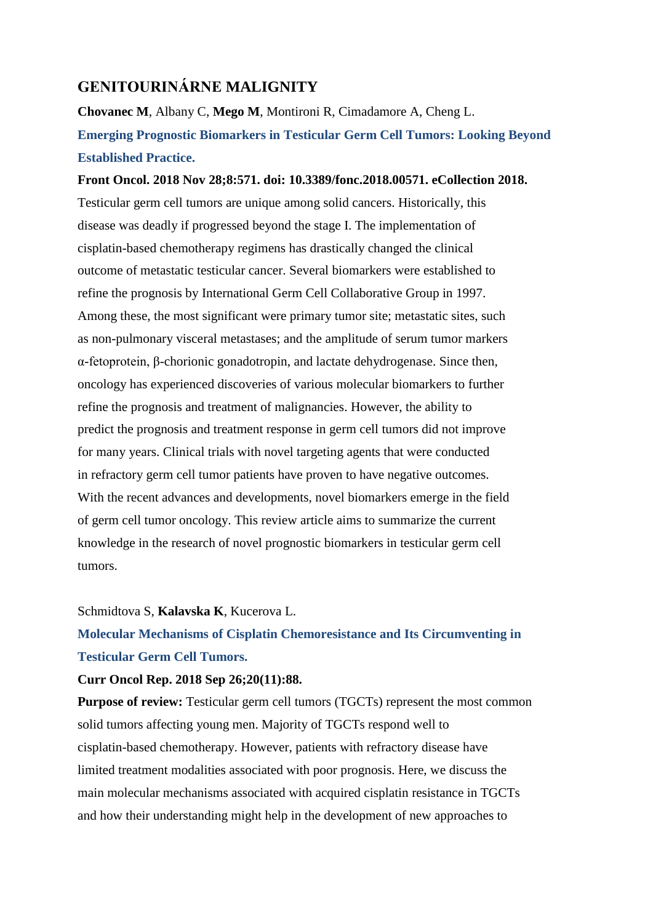### **GENITOURINÁRNE MALIGNITY**

**Chovanec M**, Albany C, **Mego M**, Montironi R, Cimadamore A, Cheng L. **Emerging Prognostic Biomarkers in Testicular Germ Cell Tumors: Looking Beyond Established Practice.**

### **Front Oncol. 2018 Nov 28;8:571. doi: 10.3389/fonc.2018.00571. eCollection 2018.**

Testicular germ cell tumors are unique among solid cancers. Historically, this disease was deadly if progressed beyond the stage I. The implementation of cisplatin-based chemotherapy regimens has drastically changed the clinical outcome of metastatic testicular cancer. Several biomarkers were established to refine the prognosis by International Germ Cell Collaborative Group in 1997. Among these, the most significant were primary tumor site; metastatic sites, such as non-pulmonary visceral metastases; and the amplitude of serum tumor markers α-fetoprotein, β-chorionic gonadotropin, and lactate dehydrogenase. Since then, oncology has experienced discoveries of various molecular biomarkers to further refine the prognosis and treatment of malignancies. However, the ability to predict the prognosis and treatment response in germ cell tumors did not improve for many years. Clinical trials with novel targeting agents that were conducted in refractory germ cell tumor patients have proven to have negative outcomes. With the recent advances and developments, novel biomarkers emerge in the field of germ cell tumor oncology. This review article aims to summarize the current knowledge in the research of novel prognostic biomarkers in testicular germ cell tumors.

#### Schmidtova S, **Kalavska K**, Kucerova L.

# **Molecular Mechanisms of Cisplatin Chemoresistance and Its Circumventing in Testicular Germ Cell Tumors.**

### **Curr Oncol Rep. 2018 Sep 26;20(11):88.**

**Purpose of review:** Testicular germ cell tumors (TGCTs) represent the most common solid tumors affecting young men. Majority of TGCTs respond well to cisplatin-based chemotherapy. However, patients with refractory disease have limited treatment modalities associated with poor prognosis. Here, we discuss the main molecular mechanisms associated with acquired cisplatin resistance in TGCTs and how their understanding might help in the development of new approaches to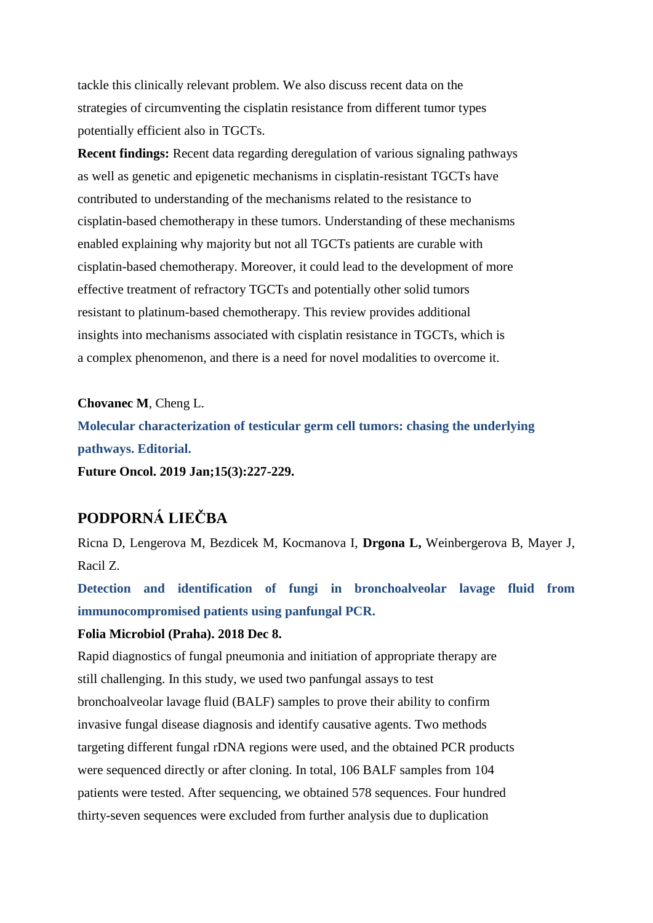tackle this clinically relevant problem. We also discuss recent data on the strategies of circumventing the cisplatin resistance from different tumor types potentially efficient also in TGCTs.

**Recent findings:** Recent data regarding deregulation of various signaling pathways as well as genetic and epigenetic mechanisms in cisplatin-resistant TGCTs have contributed to understanding of the mechanisms related to the resistance to cisplatin-based chemotherapy in these tumors. Understanding of these mechanisms enabled explaining why majority but not all TGCTs patients are curable with cisplatin-based chemotherapy. Moreover, it could lead to the development of more effective treatment of refractory TGCTs and potentially other solid tumors resistant to platinum-based chemotherapy. This review provides additional insights into mechanisms associated with cisplatin resistance in TGCTs, which is a complex phenomenon, and there is a need for novel modalities to overcome it.

**Chovanec M**, Cheng L. **Molecular characterization of testicular germ cell tumors: chasing the underlying pathways. Editorial. Future Oncol. 2019 Jan;15(3):227-229.**

# **PODPORNÁ LIEČBA**

Ricna D, Lengerova M, Bezdicek M, Kocmanova I, **Drgona L,** Weinbergerova B, Mayer J, Racil Z.

**Detection and identification of fungi in bronchoalveolar lavage fluid from immunocompromised patients using panfungal PCR.**

### **Folia Microbiol (Praha). 2018 Dec 8.**

Rapid diagnostics of fungal pneumonia and initiation of appropriate therapy are still challenging. In this study, we used two panfungal assays to test bronchoalveolar lavage fluid (BALF) samples to prove their ability to confirm invasive fungal disease diagnosis and identify causative agents. Two methods targeting different fungal rDNA regions were used, and the obtained PCR products were sequenced directly or after cloning. In total, 106 BALF samples from 104 patients were tested. After sequencing, we obtained 578 sequences. Four hundred thirty-seven sequences were excluded from further analysis due to duplication